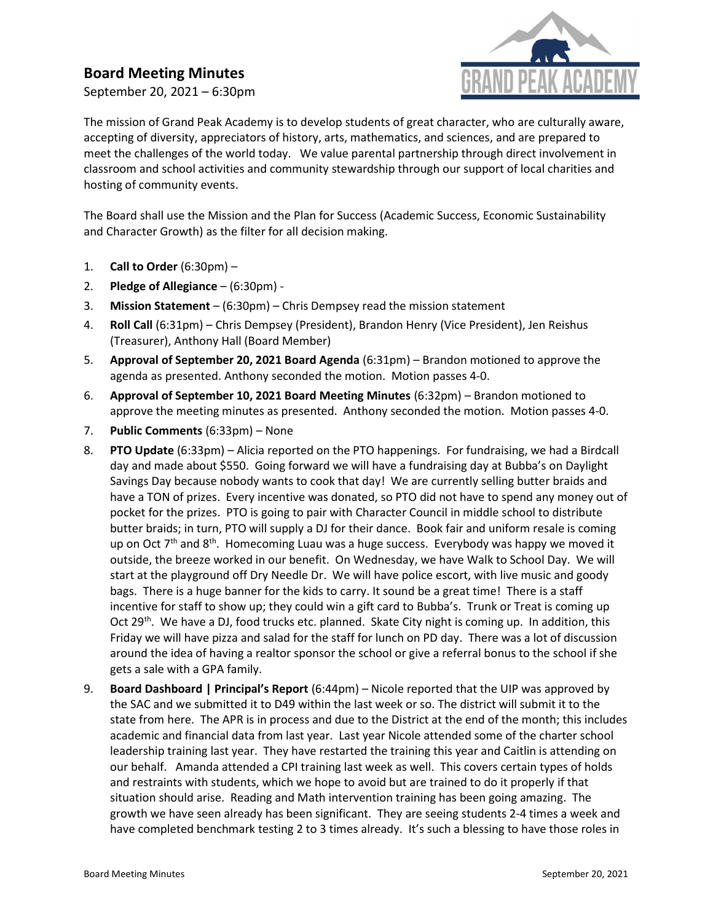## Board Meeting Minutes

September 20, 2021 – 6:30pm



The mission of Grand Peak Academy is to develop students of great character, who are culturally aware, accepting of diversity, appreciators of history, arts, mathematics, and sciences, and are prepared to meet the challenges of the world today. We value parental partnership through direct involvement in classroom and school activities and community stewardship through our support of local charities and hosting of community events.

The Board shall use the Mission and the Plan for Success (Academic Success, Economic Sustainability and Character Growth) as the filter for all decision making.

- 1. Call to Order  $(6:30 \text{pm})$  –
- 2. Pledge of Allegiance (6:30pm) -
- 3. Mission Statement (6:30pm) Chris Dempsey read the mission statement
- 4. Roll Call (6:31pm) Chris Dempsey (President), Brandon Henry (Vice President), Jen Reishus (Treasurer), Anthony Hall (Board Member)
- 5. Approval of September 20, 2021 Board Agenda (6:31pm) Brandon motioned to approve the agenda as presented. Anthony seconded the motion. Motion passes 4-0.
- 6. Approval of September 10, 2021 Board Meeting Minutes (6:32pm) Brandon motioned to approve the meeting minutes as presented. Anthony seconded the motion. Motion passes 4-0.
- 7. Public Comments (6:33pm) None
- 8. PTO Update (6:33pm) Alicia reported on the PTO happenings. For fundraising, we had a Birdcall day and made about \$550. Going forward we will have a fundraising day at Bubba's on Daylight Savings Day because nobody wants to cook that day! We are currently selling butter braids and have a TON of prizes. Every incentive was donated, so PTO did not have to spend any money out of pocket for the prizes. PTO is going to pair with Character Council in middle school to distribute butter braids; in turn, PTO will supply a DJ for their dance. Book fair and uniform resale is coming up on Oct  $7<sup>th</sup>$  and  $8<sup>th</sup>$ . Homecoming Luau was a huge success. Everybody was happy we moved it outside, the breeze worked in our benefit. On Wednesday, we have Walk to School Day. We will start at the playground off Dry Needle Dr. We will have police escort, with live music and goody bags. There is a huge banner for the kids to carry. It sound be a great time! There is a staff incentive for staff to show up; they could win a gift card to Bubba's. Trunk or Treat is coming up Oct 29<sup>th</sup>. We have a DJ, food trucks etc. planned. Skate City night is coming up. In addition, this Friday we will have pizza and salad for the staff for lunch on PD day. There was a lot of discussion around the idea of having a realtor sponsor the school or give a referral bonus to the school if she gets a sale with a GPA family.
- 9. Board Dashboard | Principal's Report (6:44pm) Nicole reported that the UIP was approved by the SAC and we submitted it to D49 within the last week or so. The district will submit it to the state from here. The APR is in process and due to the District at the end of the month; this includes academic and financial data from last year. Last year Nicole attended some of the charter school leadership training last year. They have restarted the training this year and Caitlin is attending on our behalf. Amanda attended a CPI training last week as well. This covers certain types of holds and restraints with students, which we hope to avoid but are trained to do it properly if that situation should arise. Reading and Math intervention training has been going amazing. The growth we have seen already has been significant. They are seeing students 2-4 times a week and have completed benchmark testing 2 to 3 times already. It's such a blessing to have those roles in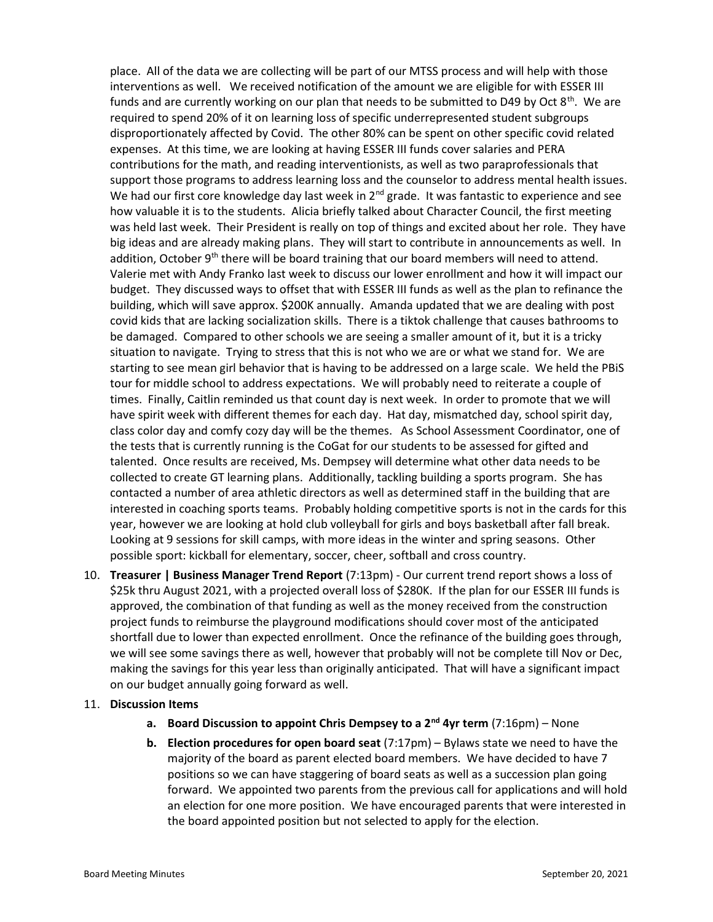place. All of the data we are collecting will be part of our MTSS process and will help with those interventions as well. We received notification of the amount we are eligible for with ESSER III funds and are currently working on our plan that needs to be submitted to D49 by Oct  $8<sup>th</sup>$ . We are required to spend 20% of it on learning loss of specific underrepresented student subgroups disproportionately affected by Covid. The other 80% can be spent on other specific covid related expenses. At this time, we are looking at having ESSER III funds cover salaries and PERA contributions for the math, and reading interventionists, as well as two paraprofessionals that support those programs to address learning loss and the counselor to address mental health issues. We had our first core knowledge day last week in  $2<sup>nd</sup>$  grade. It was fantastic to experience and see how valuable it is to the students. Alicia briefly talked about Character Council, the first meeting was held last week. Their President is really on top of things and excited about her role. They have big ideas and are already making plans. They will start to contribute in announcements as well. In addition, October  $9<sup>th</sup>$  there will be board training that our board members will need to attend. Valerie met with Andy Franko last week to discuss our lower enrollment and how it will impact our budget. They discussed ways to offset that with ESSER III funds as well as the plan to refinance the building, which will save approx. \$200K annually. Amanda updated that we are dealing with post covid kids that are lacking socialization skills. There is a tiktok challenge that causes bathrooms to be damaged. Compared to other schools we are seeing a smaller amount of it, but it is a tricky situation to navigate. Trying to stress that this is not who we are or what we stand for. We are starting to see mean girl behavior that is having to be addressed on a large scale. We held the PBiS tour for middle school to address expectations. We will probably need to reiterate a couple of times. Finally, Caitlin reminded us that count day is next week. In order to promote that we will have spirit week with different themes for each day. Hat day, mismatched day, school spirit day, class color day and comfy cozy day will be the themes. As School Assessment Coordinator, one of the tests that is currently running is the CoGat for our students to be assessed for gifted and talented. Once results are received, Ms. Dempsey will determine what other data needs to be collected to create GT learning plans. Additionally, tackling building a sports program. She has contacted a number of area athletic directors as well as determined staff in the building that are interested in coaching sports teams. Probably holding competitive sports is not in the cards for this year, however we are looking at hold club volleyball for girls and boys basketball after fall break. Looking at 9 sessions for skill camps, with more ideas in the winter and spring seasons. Other possible sport: kickball for elementary, soccer, cheer, softball and cross country.

10. Treasurer | Business Manager Trend Report (7:13pm) - Our current trend report shows a loss of \$25k thru August 2021, with a projected overall loss of \$280K. If the plan for our ESSER III funds is approved, the combination of that funding as well as the money received from the construction project funds to reimburse the playground modifications should cover most of the anticipated shortfall due to lower than expected enrollment. Once the refinance of the building goes through, we will see some savings there as well, however that probably will not be complete till Nov or Dec, making the savings for this year less than originally anticipated. That will have a significant impact on our budget annually going forward as well.

## 11. Discussion Items

- a. Board Discussion to appoint Chris Dempsey to a  $2^{nd}$  4yr term  $(7:16pm)$  None
- **b.** Election procedures for open board seat  $(7:17 \text{pm}) \text{Bylaws state we need to have the$ majority of the board as parent elected board members. We have decided to have 7 positions so we can have staggering of board seats as well as a succession plan going forward. We appointed two parents from the previous call for applications and will hold an election for one more position. We have encouraged parents that were interested in the board appointed position but not selected to apply for the election.